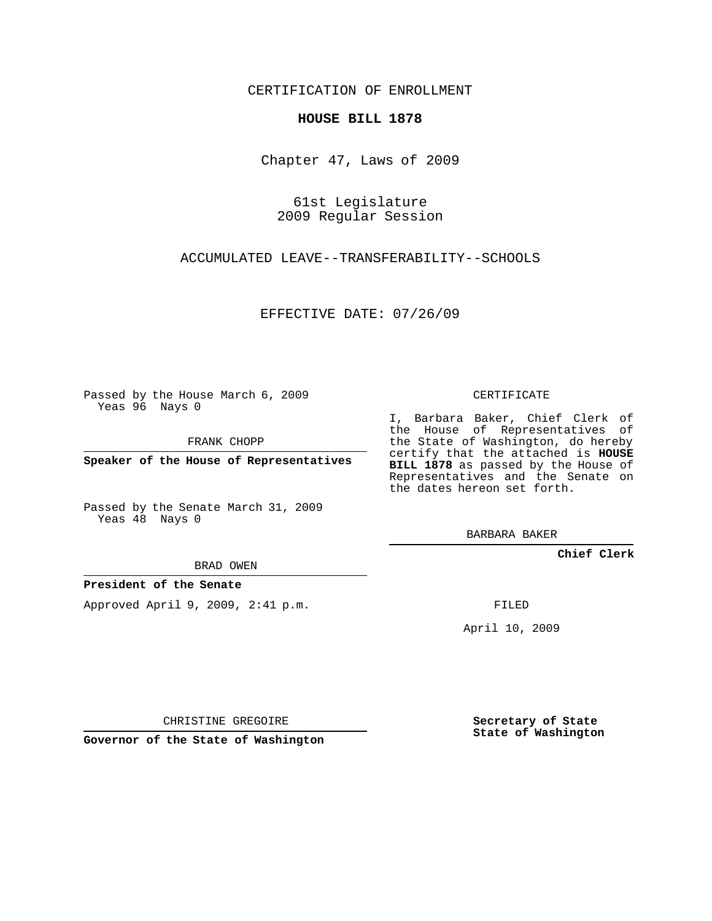CERTIFICATION OF ENROLLMENT

## **HOUSE BILL 1878**

Chapter 47, Laws of 2009

61st Legislature 2009 Regular Session

ACCUMULATED LEAVE--TRANSFERABILITY--SCHOOLS

EFFECTIVE DATE: 07/26/09

Passed by the House March 6, 2009 Yeas 96 Nays 0

FRANK CHOPP

**Speaker of the House of Representatives**

Passed by the Senate March 31, 2009 Yeas 48 Nays 0

BRAD OWEN

## **President of the Senate**

Approved April 9, 2009, 2:41 p.m.

CERTIFICATE

I, Barbara Baker, Chief Clerk of the House of Representatives of the State of Washington, do hereby certify that the attached is **HOUSE BILL 1878** as passed by the House of Representatives and the Senate on the dates hereon set forth.

BARBARA BAKER

**Chief Clerk**

FILED

April 10, 2009

CHRISTINE GREGOIRE

**Governor of the State of Washington**

**Secretary of State State of Washington**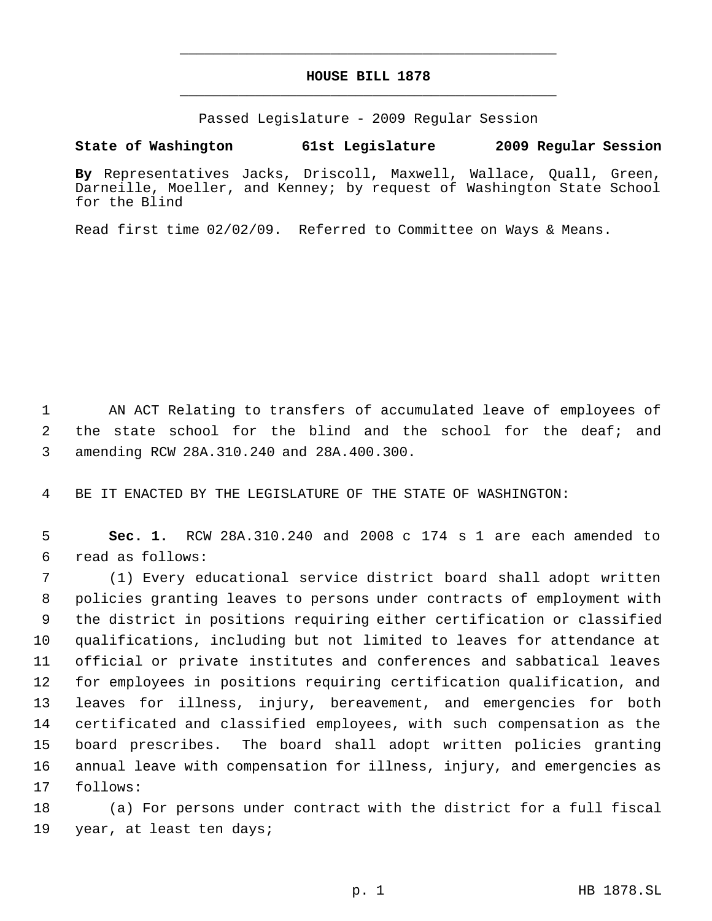## **HOUSE BILL 1878** \_\_\_\_\_\_\_\_\_\_\_\_\_\_\_\_\_\_\_\_\_\_\_\_\_\_\_\_\_\_\_\_\_\_\_\_\_\_\_\_\_\_\_\_\_

\_\_\_\_\_\_\_\_\_\_\_\_\_\_\_\_\_\_\_\_\_\_\_\_\_\_\_\_\_\_\_\_\_\_\_\_\_\_\_\_\_\_\_\_\_

Passed Legislature - 2009 Regular Session

**State of Washington 61st Legislature 2009 Regular Session**

**By** Representatives Jacks, Driscoll, Maxwell, Wallace, Quall, Green, Darneille, Moeller, and Kenney; by request of Washington State School for the Blind

Read first time 02/02/09. Referred to Committee on Ways & Means.

 AN ACT Relating to transfers of accumulated leave of employees of the state school for the blind and the school for the deaf; and amending RCW 28A.310.240 and 28A.400.300.

BE IT ENACTED BY THE LEGISLATURE OF THE STATE OF WASHINGTON:

 **Sec. 1.** RCW 28A.310.240 and 2008 c 174 s 1 are each amended to read as follows:

 (1) Every educational service district board shall adopt written policies granting leaves to persons under contracts of employment with the district in positions requiring either certification or classified qualifications, including but not limited to leaves for attendance at official or private institutes and conferences and sabbatical leaves for employees in positions requiring certification qualification, and leaves for illness, injury, bereavement, and emergencies for both certificated and classified employees, with such compensation as the board prescribes. The board shall adopt written policies granting annual leave with compensation for illness, injury, and emergencies as follows:

 (a) For persons under contract with the district for a full fiscal year, at least ten days;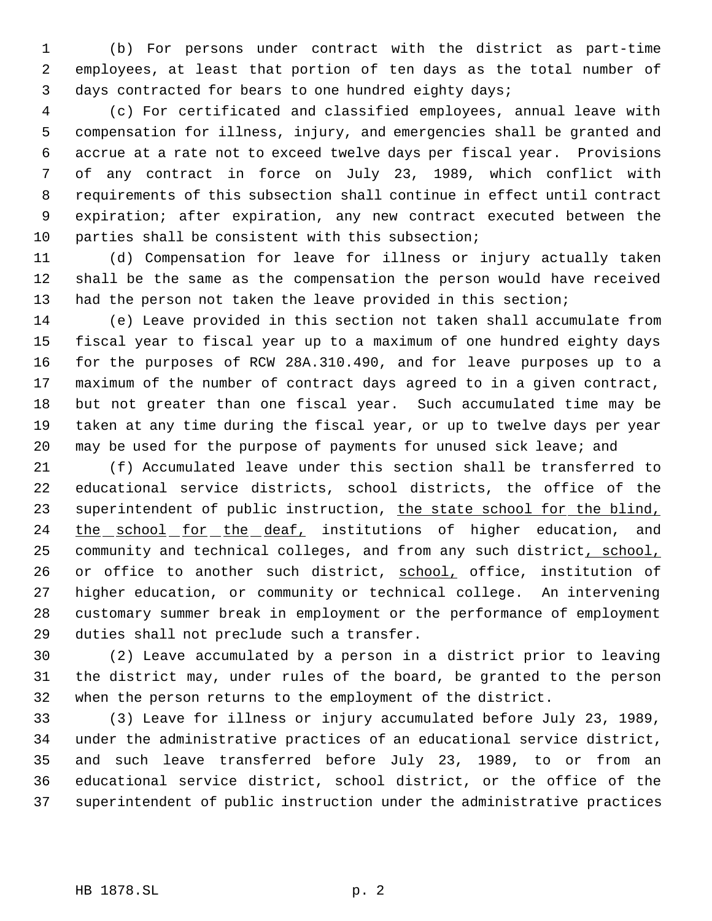(b) For persons under contract with the district as part-time employees, at least that portion of ten days as the total number of days contracted for bears to one hundred eighty days;

 (c) For certificated and classified employees, annual leave with compensation for illness, injury, and emergencies shall be granted and accrue at a rate not to exceed twelve days per fiscal year. Provisions of any contract in force on July 23, 1989, which conflict with requirements of this subsection shall continue in effect until contract expiration; after expiration, any new contract executed between the parties shall be consistent with this subsection;

 (d) Compensation for leave for illness or injury actually taken shall be the same as the compensation the person would have received had the person not taken the leave provided in this section;

 (e) Leave provided in this section not taken shall accumulate from fiscal year to fiscal year up to a maximum of one hundred eighty days for the purposes of RCW 28A.310.490, and for leave purposes up to a maximum of the number of contract days agreed to in a given contract, but not greater than one fiscal year. Such accumulated time may be taken at any time during the fiscal year, or up to twelve days per year may be used for the purpose of payments for unused sick leave; and

 (f) Accumulated leave under this section shall be transferred to educational service districts, school districts, the office of the 23 superintendent of public instruction, the state school for the blind, 24 the school for the deaf, institutions of higher education, and 25 community and technical colleges, and from any such district, school, 26 or office to another such district, school, office, institution of higher education, or community or technical college. An intervening customary summer break in employment or the performance of employment duties shall not preclude such a transfer.

 (2) Leave accumulated by a person in a district prior to leaving the district may, under rules of the board, be granted to the person when the person returns to the employment of the district.

 (3) Leave for illness or injury accumulated before July 23, 1989, under the administrative practices of an educational service district, and such leave transferred before July 23, 1989, to or from an educational service district, school district, or the office of the superintendent of public instruction under the administrative practices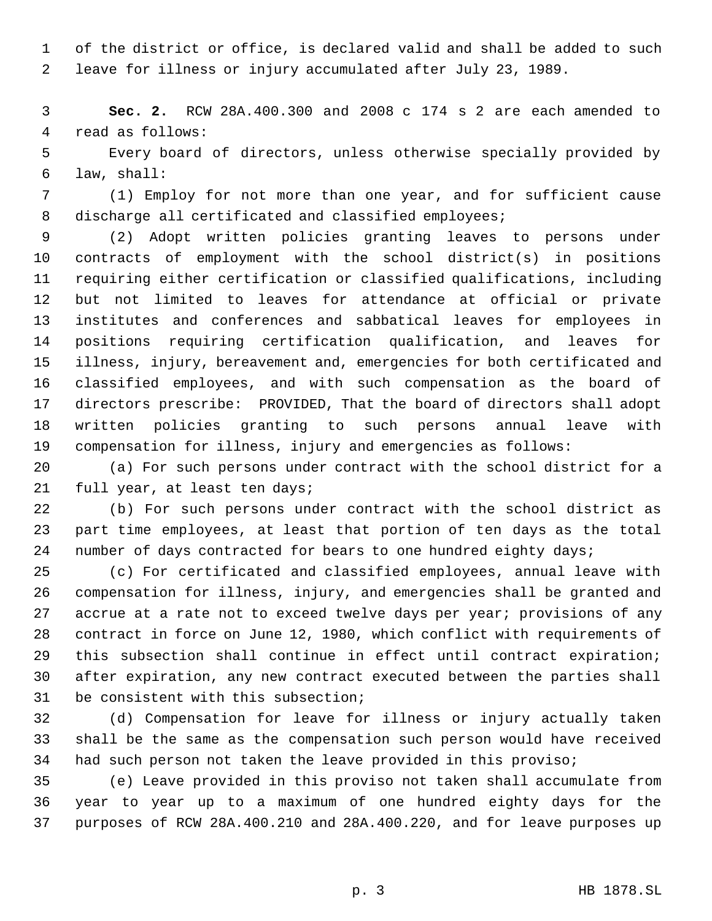of the district or office, is declared valid and shall be added to such leave for illness or injury accumulated after July 23, 1989.

 **Sec. 2.** RCW 28A.400.300 and 2008 c 174 s 2 are each amended to read as follows:

 Every board of directors, unless otherwise specially provided by law, shall:

 (1) Employ for not more than one year, and for sufficient cause 8 discharge all certificated and classified employees;

 (2) Adopt written policies granting leaves to persons under contracts of employment with the school district(s) in positions requiring either certification or classified qualifications, including but not limited to leaves for attendance at official or private institutes and conferences and sabbatical leaves for employees in positions requiring certification qualification, and leaves for illness, injury, bereavement and, emergencies for both certificated and classified employees, and with such compensation as the board of directors prescribe: PROVIDED, That the board of directors shall adopt written policies granting to such persons annual leave with compensation for illness, injury and emergencies as follows:

 (a) For such persons under contract with the school district for a full year, at least ten days;

 (b) For such persons under contract with the school district as part time employees, at least that portion of ten days as the total 24 number of days contracted for bears to one hundred eighty days;

 (c) For certificated and classified employees, annual leave with compensation for illness, injury, and emergencies shall be granted and accrue at a rate not to exceed twelve days per year; provisions of any contract in force on June 12, 1980, which conflict with requirements of this subsection shall continue in effect until contract expiration; after expiration, any new contract executed between the parties shall be consistent with this subsection;

 (d) Compensation for leave for illness or injury actually taken shall be the same as the compensation such person would have received had such person not taken the leave provided in this proviso;

 (e) Leave provided in this proviso not taken shall accumulate from year to year up to a maximum of one hundred eighty days for the purposes of RCW 28A.400.210 and 28A.400.220, and for leave purposes up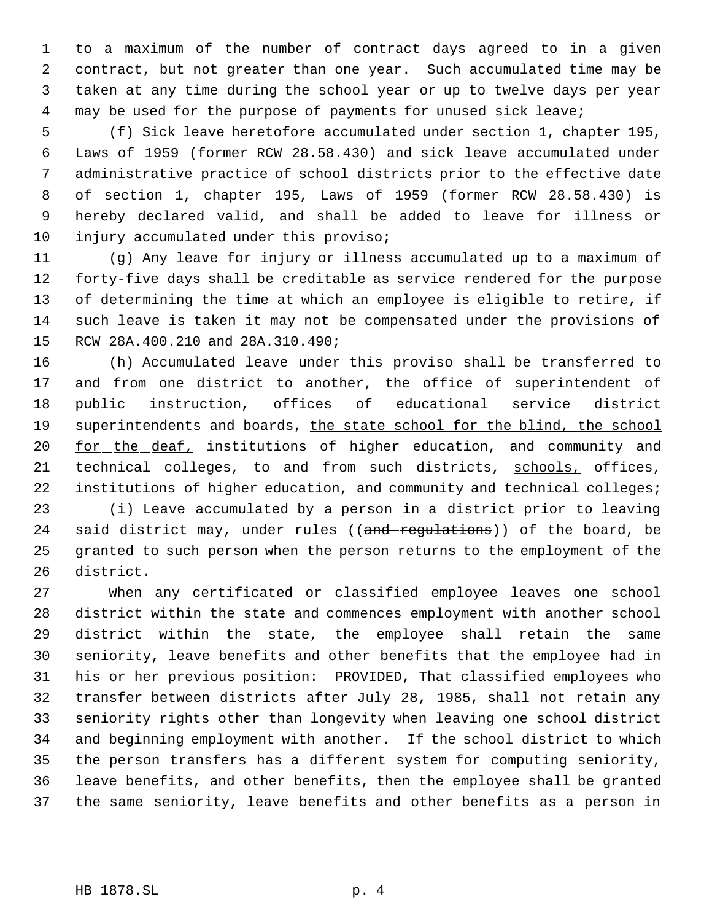to a maximum of the number of contract days agreed to in a given contract, but not greater than one year. Such accumulated time may be taken at any time during the school year or up to twelve days per year may be used for the purpose of payments for unused sick leave;

 (f) Sick leave heretofore accumulated under section 1, chapter 195, Laws of 1959 (former RCW 28.58.430) and sick leave accumulated under administrative practice of school districts prior to the effective date of section 1, chapter 195, Laws of 1959 (former RCW 28.58.430) is hereby declared valid, and shall be added to leave for illness or 10 injury accumulated under this proviso;

 (g) Any leave for injury or illness accumulated up to a maximum of forty-five days shall be creditable as service rendered for the purpose of determining the time at which an employee is eligible to retire, if such leave is taken it may not be compensated under the provisions of RCW 28A.400.210 and 28A.310.490;

 (h) Accumulated leave under this proviso shall be transferred to and from one district to another, the office of superintendent of public instruction, offices of educational service district 19 superintendents and boards, the state school for the blind, the school 20 <u>for the deaf</u>, institutions of higher education, and community and 21 technical colleges, to and from such districts, schools, offices, 22 institutions of higher education, and community and technical colleges;

 (i) Leave accumulated by a person in a district prior to leaving 24 said district may, under rules ((and regulations)) of the board, be granted to such person when the person returns to the employment of the district.

 When any certificated or classified employee leaves one school district within the state and commences employment with another school district within the state, the employee shall retain the same seniority, leave benefits and other benefits that the employee had in his or her previous position: PROVIDED, That classified employees who transfer between districts after July 28, 1985, shall not retain any seniority rights other than longevity when leaving one school district and beginning employment with another. If the school district to which the person transfers has a different system for computing seniority, leave benefits, and other benefits, then the employee shall be granted the same seniority, leave benefits and other benefits as a person in